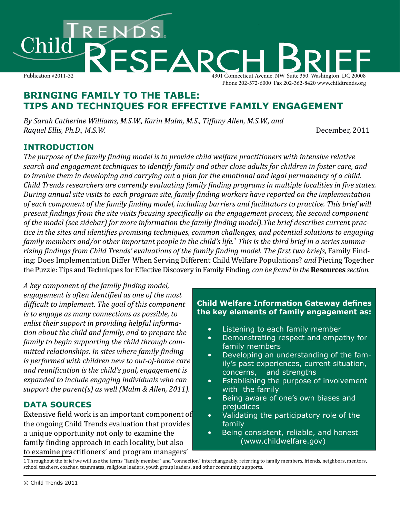

# **BRINGING FAMILY TO THE TABLE: TIPS AND TECHNIQUES FOR EFFECTIVE FAMILY ENGAGEMENT**

*By Sarah Catherine Williams, M.S.W., Karin Malm, M.S., Tiffany Allen, M.S.W., and Raquel Ellis, Ph.D., M.S.W.* December, 2011

## **INTRODUCTION**

*The purpose of the family finding model is to provide child welfare practitioners with intensive relative search and engagement techniques to identify family and other close adults for children in foster care, and to involve them in developing and carrying out a plan for the emotional and legal permanency of a child. Child Trends researchers are currently evaluating family finding programs in multiple localities in five states. During annual site visits to each program site, family finding workers have reported on the implementation of each component of the family finding model, including barriers and facilitators to practice. This brief will present findings from the site visits focusing specifically on the engagement process, the second component of the model (see sidebar) for more information the family finding model).The brief describes current practice in the sites and identifies promising techniques, common challenges, and potential solutions to engaging family members and/or other important people in the child's life.<sup>1</sup> This is the third brief in a series summa-*rizing findings from Child Trends' evaluations of the family finding model. The first two briefs, [Family Find](http://www.childtrends.org/Files/Child_Trends-2011_10_17_RB_FamilyFinding.pdf)ing: [Does Implementation Differ When Serving Different Child Welfare Populations?](http://www.childtrends.org/Files/Child_Trends-2011_10_17_RB_FamilyFinding.pdf) *and* [Piecing Together](http://www.childtrends.org/Files//Child_Trends-2011_12_01_RB_FamilyFindingTips.pdf)  [the Puzzle: Tips and Techniques for Effective Discovery in Family Finding,](http://www.childtrends.org/Files//Child_Trends-2011_12_01_RB_FamilyFindingTips.pdf) *can be found in the* **Resources** *section.*

*A key component of the family finding model, engagement is often identified as one of the most difficult to implement. The goal of this component is to engage as many connections as possible, to enlist their support in providing helpful information about the child and family, and to prepare the family to begin supporting the child through committed relationships. In sites where family finding is performed with children new to out-of-home care and reunification is the child's goal, engagement is expanded to include engaging individuals who can support the parent(s) as well (Malm & Allen, 2011).* 

## **DATA SOURCES**

Extensive field work is an important component of the ongoing Child Trends evaluation that provides a unique opportunity not only to examine the family finding approach in each locality, but also to examine practitioners' and program managers'

#### **Child Welfare Information Gateway defines the key elements of family engagement as:**

- • Listening to each family member
- • Demonstrating respect and empathy for family members
- Developing an understanding of the family's past experiences, current situation, concerns, and strengths
- Establishing the purpose of involvement with the family
- • Being aware of one's own biases and prejudices
- Validating the participatory role of the family
- • Being consistent, reliable, and honest (www.childwelfare.gov)

1 Throughout the brief we will use the terms "family member" and "connection" interchangeably, referring to family members, friends, neighbors, mentors, school teachers, coaches, teammates, religious leaders, youth group leaders, and other community supports.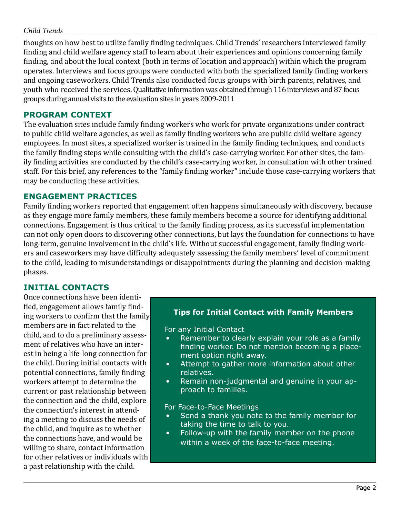thoughts on how best to utilize family finding techniques. Child Trends' researchers interviewed family finding and child welfare agency staff to learn about their experiences and opinions concerning family finding, and about the local context (both in terms of location and approach) within which the program operates. Interviews and focus groups were conducted with both the specialized family finding workers and ongoing caseworkers. Child Trends also conducted focus groups with birth parents, relatives, and youth who received the services. Qualitative information was obtained through 116 interviews and 87 focus groups during annual visits to the evaluation sites in years 2009-2011

## **PROGRAM CONTEXT**

The evaluation sites include family finding workers who work for private organizations under contract to public child welfare agencies, as well as family finding workers who are public child welfare agency employees. In most sites, a specialized worker is trained in the family finding techniques, and conducts the family finding steps while consulting with the child's case-carrying worker. For other sites, the family finding activities are conducted by the child's case-carrying worker, in consultation with other trained staff. For this brief, any references to the "family finding worker" include those case-carrying workers that may be conducting these activities.

## **ENGAGEMENT PRACTICES**

Family finding workers reported that engagement often happens simultaneously with discovery, because as they engage more family members, these family members become a source for identifying additional connections. Engagement is thus critical to the family finding process, as its successful implementation can not only open doors to discovering other connections, but lays the foundation for connections to have long-term, genuine involvement in the child's life. Without successful engagement, family finding workers and caseworkers may have difficulty adequately assessing the family members' level of commitment to the child, leading to misunderstandings or disappointments during the planning and decision-making phases.

### **INITIAL CONTACTS**

Once connections have been identified, engagement allows family finding workers to confirm that the family members are in fact related to the child, and to do a preliminary assessment of relatives who have an interest in being a life-long connection for the child. During initial contacts with potential connections, family finding workers attempt to determine the current or past relationship between the connection and the child, explore the connection's interest in attending a meeting to discuss the needs of the child, and inquire as to whether the connections have, and would be willing to share, contact information for other relatives or individuals with a past relationship with the child.

#### **Tips for Initial Contact with Family Members**

For any Initial Contact

- Remember to clearly explain your role as a family finding worker. Do not mention becoming a placement option right away.
- Attempt to gather more information about other relatives.
- Remain non-judgmental and genuine in your approach to families.

For Face-to-Face Meetings

- Send a thank you note to the family member for taking the time to talk to you.
- • Follow-up with the family member on the phone within a week of the face-to-face meeting.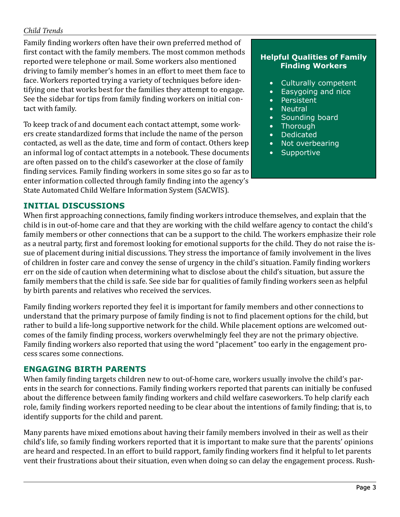Family finding workers often have their own preferred method of first contact with the family members. The most common methods reported were telephone or mail. Some workers also mentioned driving to family member's homes in an effort to meet them face to face. Workers reported trying a variety of techniques before identifying one that works best for the families they attempt to engage. See the sidebar for tips from family finding workers on initial contact with family.

To keep track of and document each contact attempt, some workers create standardized forms that include the name of the person contacted, as well as the date, time and form of contact. Others keep an informal log of contact attempts in a notebook. These documents are often passed on to the child's caseworker at the close of family finding services. Family finding workers in some sites go so far as to enter information collected through family finding into the agency's State Automated Child Welfare Information System (SACWIS).

#### **Helpful Qualities of Family Finding Workers**

- • Culturally competent
- Easygoing and nice
- • Persistent
- • Neutral
- Sounding board
- Thorough
- • Dedicated
- Not overbearing
- • Supportive

## **INITIAL DISCUSSIONS**

When first approaching connections, family finding workers introduce themselves, and explain that the child is in out-of-home care and that they are working with the child welfare agency to contact the child's family members or other connections that can be a support to the child. The workers emphasize their role as a neutral party, first and foremost looking for emotional supports for the child. They do not raise the issue of placement during initial discussions. They stress the importance of family involvement in the lives of children in foster care and convey the sense of urgency in the child's situation. Family finding workers err on the side of caution when determining what to disclose about the child's situation, but assure the family members that the child is safe. See side bar for qualities of family finding workers seen as helpful by birth parents and relatives who received the services.

Family finding workers reported they feel it is important for family members and other connections to understand that the primary purpose of family finding is not to find placement options for the child, but rather to build a life-long supportive network for the child. While placement options are welcomed outcomes of the family finding process, workers overwhelmingly feel they are not the primary objective. Family finding workers also reported that using the word "placement" too early in the engagement process scares some connections.

## **ENGAGING BIRTH PARENTS**

When family finding targets children new to out-of-home care, workers usually involve the child's parents in the search for connections. Family finding workers reported that parents can initially be confused about the difference between family finding workers and child welfare caseworkers. To help clarify each role, family finding workers reported needing to be clear about the intentions of family finding; that is, to identify supports for the child and parent.

Many parents have mixed emotions about having their family members involved in their as well as their child's life, so family finding workers reported that it is important to make sure that the parents' opinions are heard and respected. In an effort to build rapport, family finding workers find it helpful to let parents vent their frustrations about their situation, even when doing so can delay the engagement process. Rush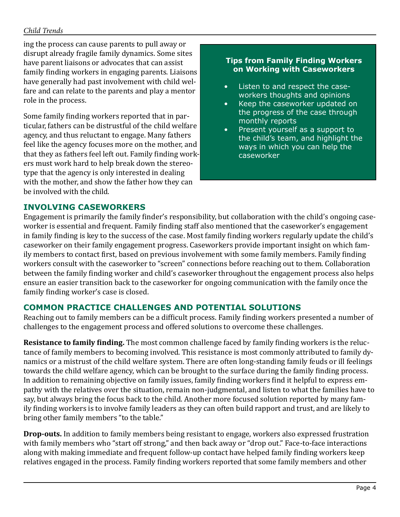ing the process can cause parents to pull away or disrupt already fragile family dynamics. Some sites have parent liaisons or advocates that can assist family finding workers in engaging parents. Liaisons have generally had past involvement with child welfare and can relate to the parents and play a mentor role in the process.

Some family finding workers reported that in particular, fathers can be distrustful of the child welfare agency, and thus reluctant to engage. Many fathers feel like the agency focuses more on the mother, and that they as fathers feel left out. Family finding workers must work hard to help break down the stereotype that the agency is only interested in dealing with the mother, and show the father how they can be involved with the child.

#### **Tips from Family Finding Workers on Working with Caseworkers**

- Listen to and respect the caseworkers thoughts and opinions
- Keep the caseworker updated on the progress of the case through monthly reports
- Present yourself as a support to the child's team, and highlight the ways in which you can help the caseworker

## **INVOLVING CASEWORKERS**

Engagement is primarily the family finder's responsibility, but collaboration with the child's ongoing caseworker is essential and frequent. Family finding staff also mentioned that the caseworker's engagement in family finding is key to the success of the case. Most family finding workers regularly update the child's caseworker on their family engagement progress. Caseworkers provide important insight on which family members to contact first, based on previous involvement with some family members. Family finding workers consult with the caseworker to "screen" connections before reaching out to them. Collaboration between the family finding worker and child's caseworker throughout the engagement process also helps ensure an easier transition back to the caseworker for ongoing communication with the family once the family finding worker's case is closed.

## **COMMON PRACTICE CHALLENGES AND POTENTIAL SOLUTIONS**

Reaching out to family members can be a difficult process. Family finding workers presented a number of challenges to the engagement process and offered solutions to overcome these challenges.

**Resistance to family finding.** The most common challenge faced by family finding workers is the reluctance of family members to becoming involved. This resistance is most commonly attributed to family dynamics or a mistrust of the child welfare system. There are often long-standing family feuds or ill feelings towards the child welfare agency, which can be brought to the surface during the family finding process. In addition to remaining objective on family issues, family finding workers find it helpful to express empathy with the relatives over the situation, remain non-judgmental, and listen to what the families have to say, but always bring the focus back to the child. Another more focused solution reported by many family finding workers is to involve family leaders as they can often build rapport and trust, and are likely to bring other family members "to the table."

**Drop-outs.** In addition to family members being resistant to engage, workers also expressed frustration with family members who "start off strong," and then back away or "drop out." Face-to-face interactions along with making immediate and frequent follow-up contact have helped family finding workers keep relatives engaged in the process. Family finding workers reported that some family members and other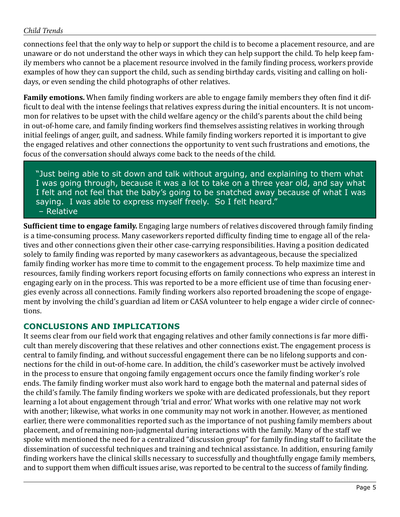connections feel that the only way to help or support the child is to become a placement resource, and are unaware or do not understand the other ways in which they can help support the child. To help keep family members who cannot be a placement resource involved in the family finding process, workers provide examples of how they can support the child, such as sending birthday cards, visiting and calling on holidays, or even sending the child photographs of other relatives.

**Family emotions.** When family finding workers are able to engage family members they often find it difficult to deal with the intense feelings that relatives express during the initial encounters. It is not uncommon for relatives to be upset with the child welfare agency or the child's parents about the child being in out-of-home care, and family finding workers find themselves assisting relatives in working through initial feelings of anger, guilt, and sadness. While family finding workers reported it is important to give the engaged relatives and other connections the opportunity to vent such frustrations and emotions, the focus of the conversation should always come back to the needs of the child.

"Just being able to sit down and talk without arguing, and explaining to them what I was going through, because it was a lot to take on a three year old, and say what I felt and not feel that the baby's going to be snatched away because of what I was saying. I was able to express myself freely. So I felt heard." – Relative

**Sufficient time to engage family.** Engaging large numbers of relatives discovered through family finding is a time-consuming process. Many caseworkers reported difficulty finding time to engage all of the relatives and other connections given their other case-carrying responsibilities. Having a position dedicated solely to family finding was reported by many caseworkers as advantageous, because the specialized family finding worker has more time to commit to the engagement process. To help maximize time and resources, family finding workers report focusing efforts on family connections who express an interest in engaging early on in the process. This was reported to be a more efficient use of time than focusing energies evenly across all connections. Family finding workers also reported broadening the scope of engagement by involving the child's guardian ad litem or CASA volunteer to help engage a wider circle of connections.

#### **CONCLUSIONS AND IMPLICATIONS**

It seems clear from our field work that engaging relatives and other family connections is far more difficult than merely discovering that these relatives and other connections exist. The engagement process is central to family finding, and without successful engagement there can be no lifelong supports and connections for the child in out-of-home care. In addition, the child's caseworker must be actively involved in the process to ensure that ongoing family engagement occurs once the family finding worker's role ends. The family finding worker must also work hard to engage both the maternal and paternal sides of the child's family. The family finding workers we spoke with are dedicated professionals, but they report learning a lot about engagement through 'trial and error.' What works with one relative may not work with another; likewise, what works in one community may not work in another. However, as mentioned earlier, there were commonalities reported such as the importance of not pushing family members about placement, and of remaining non-judgmental during interactions with the family. Many of the staff we spoke with mentioned the need for a centralized "discussion group" for family finding staff to facilitate the dissemination of successful techniques and training and technical assistance. In addition, ensuring family finding workers have the clinical skills necessary to successfully and thoughtfully engage family members, and to support them when difficult issues arise, was reported to be central to the success of family finding.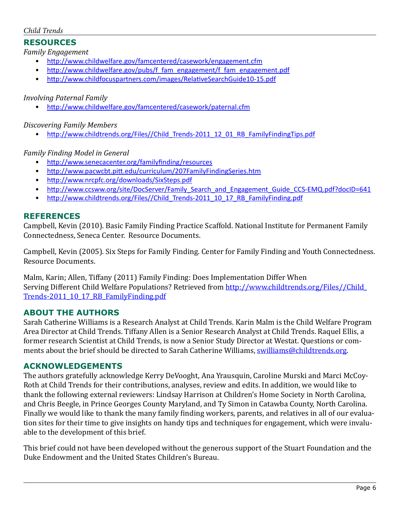## **RESOURCES**

*Family Engagement*

- <http://www.childwelfare.gov/famcentered/casework/engagement.cfm>
- [http://www.childwelfare.gov/pubs/f\\_fam\\_engagement/f\\_fam\\_engagement.pdf](http://www.childwelfare.gov/pubs/f_fam_engagement/f_fam_engagement.pdf)
- <http://www.childfocuspartners.com/images/RelativeSearchGuide10-15.pdf>

### *Involving Paternal Family*

<http://www.childwelfare.gov/famcentered/casework/paternal.cfm>

*Discovering Family Members*

• [http://www.childtrends.org/Files//Child\\_Trends-2011\\_12\\_01\\_RB\\_FamilyFindingTips.pdf](http://www.childtrends.org/Files//Child_Trends-2011_12_01_RB_FamilyFindingTips.pdf)

### *Family Finding Model in General*

- • <http://www.senecacenter.org/familyfinding/resources>
- <http://www.pacwcbt.pitt.edu/curriculum/207FamilyFindingSeries.htm>
- • <http://www.nrcpfc.org/downloads/SixSteps.pdf>
- [http://www.ccsww.org/site/DocServer/Family\\_Search\\_and\\_Engagement\\_Guide\\_CCS-EMQ.pdf?docID=641](http://www.ccsww.org/site/DocServer/Family_Search_and_Engagement_Guide_CCS-EMQ.pdf?docID=641)
- [http://www.childtrends.org/Files//Child\\_Trends-2011\\_10\\_17\\_RB\\_FamilyFinding.pdf](http://www.childtrends.org/Files//Child_Trends-2011_10_17_RB_FamilyFinding.pdf)

## **REFERENCES**

Campbell, Kevin (2010). Basic Family Finding Practice Scaffold. National Institute for Permanent Family Connectedness, Seneca Center. Resource Documents.

Campbell, Kevin (2005). Six Steps for Family Finding. Center for Family Finding and Youth Connectedness. Resource Documents.

Malm, Karin; Allen, Tiffany (2011) Family Finding: Does Implementation Differ When Serving Different Child Welfare Populations? Retrieved from [http://www.childtrends.org/Files//Child\\_](http://www.childtrends.org/Files//Child_Trends-2011_10_17_RB_FamilyFinding.pdf) [Trends-2011\\_10\\_17\\_RB\\_FamilyFinding.pdf](http://www.childtrends.org/Files//Child_Trends-2011_10_17_RB_FamilyFinding.pdf)

### **ABOUT THE AUTHORS**

Sarah Catherine Williams is a Research Analyst at Child Trends. Karin Malm is the Child Welfare Program Area Director at Child Trends. Tiffany Allen is a Senior Research Analyst at Child Trends. Raquel Ellis, a former research Scientist at Child Trends, is now a Senior Study Director at Westat. Questions or comments about the brief should be directed to Sarah Catherine Williams, [swilliams@childtrends.org](mailto:swilliams@childtrends.org).

### **ACKNOWLEDGEMENTS**

The authors gratefully acknowledge Kerry DeVooght, Ana Yrausquin, Caroline Murski and Marci McCoy-Roth at Child Trends for their contributions, analyses, review and edits. In addition, we would like to thank the following external reviewers: Lindsay Harrison at Children's Home Society in North Carolina, and Chris Beegle, in Prince Georges County Maryland, and Ty Simon in Catawba County, North Carolina. Finally we would like to thank the many family finding workers, parents, and relatives in all of our evaluation sites for their time to give insights on handy tips and techniques for engagement, which were invaluable to the development of this brief.

This brief could not have been developed without the generous support of the Stuart Foundation and the Duke Endowment and the United States Children's Bureau.